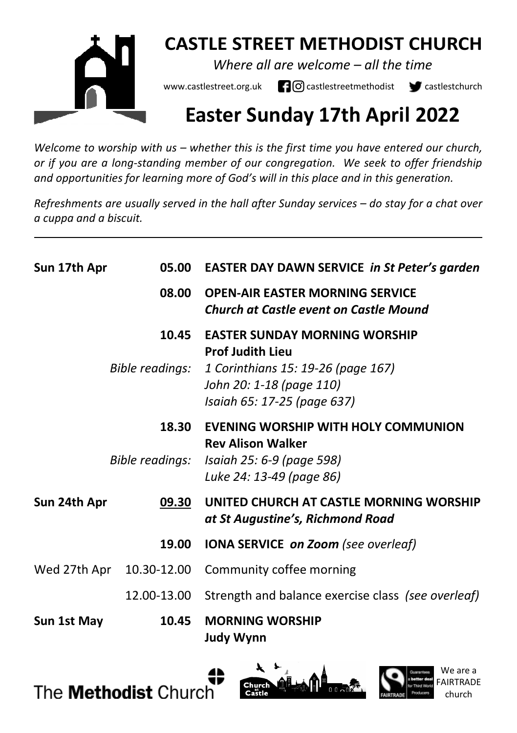

## **CASTLE STREET METHODIST CHURCH**

*Where all are welcome – all the time* 

www.castlestreet.org.uk  $\Box$   $\Box$  castlestreetmethodist  $\Box$  castlestchurch

# **Easter Sunday 17th April 2022**

*Welcome to worship with us – whether this is the first time you have entered our church, or if you are a long-standing member of our congregation. We seek to offer friendship and opportunities for learning more of God's will in this place and in this generation.* 

*Refreshments are usually served in the hall after Sunday services – do stay for a chat over a cuppa and a biscuit.*

| Sun 17th Apr | 05.00                    | <b>EASTER DAY DAWN SERVICE in St Peter's garden</b>                                                                      |
|--------------|--------------------------|--------------------------------------------------------------------------------------------------------------------------|
|              | 08.00                    | <b>OPEN-AIR EASTER MORNING SERVICE</b><br><b>Church at Castle event on Castle Mound</b>                                  |
|              | 10.45                    | <b>EASTER SUNDAY MORNING WORSHIP</b>                                                                                     |
|              | Bible readings:          | <b>Prof Judith Lieu</b><br>1 Corinthians 15: 19-26 (page 167)<br>John 20: 1-18 (page 110)<br>Isaiah 65: 17-25 (page 637) |
|              | 18.30                    | EVENING WORSHIP WITH HOLY COMMUNION<br><b>Rev Alison Walker</b>                                                          |
|              | Bible readings:          | Isaiah 25: 6-9 (page 598)<br>Luke 24: 13-49 (page 86)                                                                    |
| Sun 24th Apr | 09.30                    | UNITED CHURCH AT CASTLE MORNING WORSHIP<br>at St Augustine's, Richmond Road                                              |
|              | 19.00                    | <b>IONA SERVICE on Zoom</b> (see overleaf)                                                                               |
|              | Wed 27th Apr 10.30-12.00 | Community coffee morning                                                                                                 |
|              | 12.00-13.00              | Strength and balance exercise class (see overleaf)                                                                       |
| Sun 1st May  | 10.45                    | <b>MORNING WORSHIP</b><br><b>Judy Wynn</b>                                                                               |





We are a FAIRTRADE church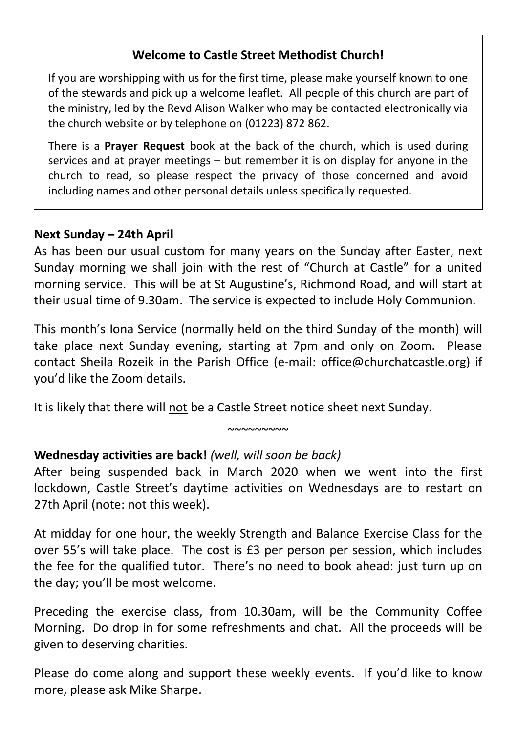### **Welcome to Castle Street Methodist Church!**

If you are worshipping with us for the first time, please make yourself known to one of the stewards and pick up a welcome leaflet. All people of this church are part of the ministry, led by the Revd Alison Walker who may be contacted electronically via the church website or by telephone on (01223) 872 862.

There is a **Prayer Request** book at the back of the church, which is used during services and at prayer meetings – but remember it is on display for anyone in the church to read, so please respect the privacy of those concerned and avoid including names and other personal details unless specifically requested.

#### **Next Sunday – 24th April**

As has been our usual custom for many years on the Sunday after Easter, next Sunday morning we shall join with the rest of "Church at Castle" for a united morning service. This will be at St Augustine's, Richmond Road, and will start at their usual time of 9.30am. The service is expected to include Holy Communion.

This month's Iona Service (normally held on the third Sunday of the month) will take place next Sunday evening, starting at 7pm and only on Zoom. Please contact Sheila Rozeik in the Parish Office (e-mail: office@churchatcastle.org) if you'd like the Zoom details.

It is likely that there will not be a Castle Street notice sheet next Sunday.

### **Wednesday activities are back!** *(well, will soon be back)*

After being suspended back in March 2020 when we went into the first lockdown, Castle Street's daytime activities on Wednesdays are to restart on 27th April (note: not this week).

 $~\sim\sim\sim\sim\sim\sim\sim\sim$ 

At midday for one hour, the weekly Strength and Balance Exercise Class for the over 55's will take place. The cost is £3 per person per session, which includes the fee for the qualified tutor. There's no need to book ahead: just turn up on the day; you'll be most welcome.

Preceding the exercise class, from 10.30am, will be the Community Coffee Morning. Do drop in for some refreshments and chat. All the proceeds will be given to deserving charities.

Please do come along and support these weekly events. If you'd like to know more, please ask Mike Sharpe.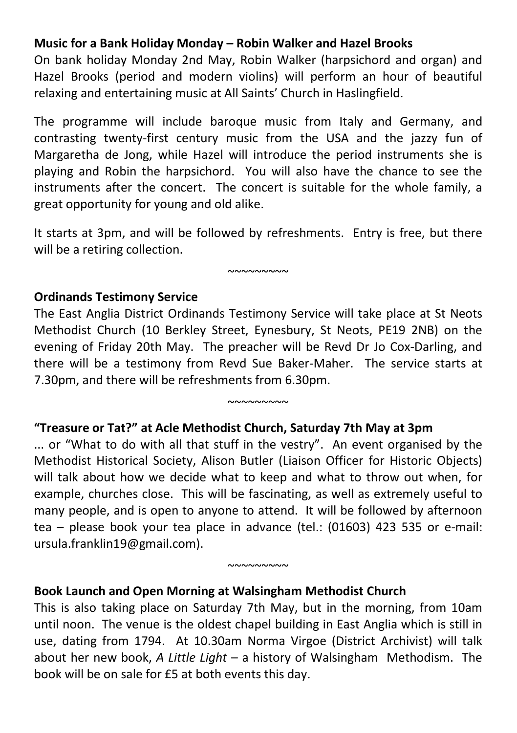### **Music for a Bank Holiday Monday – Robin Walker and Hazel Brooks**

On bank holiday Monday 2nd May, Robin Walker (harpsichord and organ) and Hazel Brooks (period and modern violins) will perform an hour of beautiful relaxing and entertaining music at All Saints' Church in Haslingfield.

The programme will include baroque music from Italy and Germany, and contrasting twenty-first century music from the USA and the jazzy fun of Margaretha de Jong, while Hazel will introduce the period instruments she is playing and Robin the harpsichord. You will also have the chance to see the instruments after the concert. The concert is suitable for the whole family, a great opportunity for young and old alike.

It starts at 3pm, and will be followed by refreshments. Entry is free, but there will be a retiring collection.

 $~\sim\sim\sim\sim\sim\sim\sim\sim$ 

# **Ordinands Testimony Service**

The East Anglia District Ordinands Testimony Service will take place at St Neots Methodist Church (10 Berkley Street, Eynesbury, St Neots, PE19 2NB) on the evening of Friday 20th May. The preacher will be Revd Dr Jo Cox-Darling, and there will be a testimony from Revd Sue Baker-Maher. The service starts at 7.30pm, and there will be refreshments from 6.30pm.

 $~\sim\sim\sim\sim\sim\sim\sim\sim$ 

#### **"Treasure or Tat?" at Acle Methodist Church, Saturday 7th May at 3pm**

... or "What to do with all that stuff in the vestry". An event organised by the Methodist Historical Society, Alison Butler (Liaison Officer for Historic Objects) will talk about how we decide what to keep and what to throw out when, for example, churches close. This will be fascinating, as well as extremely useful to many people, and is open to anyone to attend. It will be followed by afternoon tea – please book your tea place in advance (tel.: (01603) 423 535 or e-mail: ursula.franklin19@gmail.com).

 $~\sim$  $\sim$  $\sim$  $\sim$  $\sim$  $\sim$ 

### **Book Launch and Open Morning at Walsingham Methodist Church**

This is also taking place on Saturday 7th May, but in the morning, from 10am until noon. The venue is the oldest chapel building in East Anglia which is still in use, dating from 1794. At 10.30am Norma Virgoe (District Archivist) will talk about her new book, *A Little Light* – a history of Walsingham Methodism. The book will be on sale for £5 at both events this day.